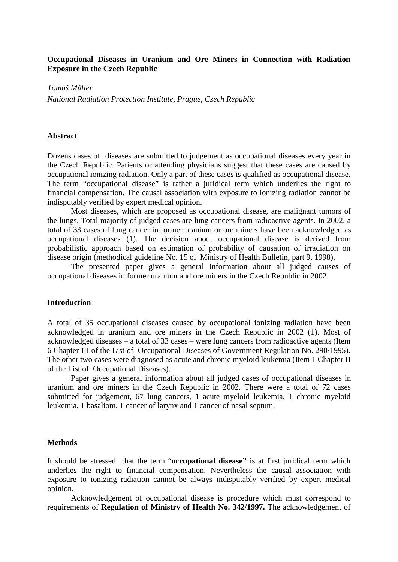### **Occupational Diseases in Uranium and Ore Miners in Connection with Radiation Exposure in the Czech Republic**

*Tomáš Műller* 

*National Radiation Protection Institute, Prague, Czech Republic* 

### **Abstract**

Dozens cases of diseases are submitted to judgement as occupational diseases every year in the Czech Republic. Patients or attending physicians suggest that these cases are caused by occupational ionizing radiation. Only a part of these cases is qualified as occupational disease. The term "occupational disease" is rather a juridical term which underlies the right to financial compensation. The causal association with exposure to ionizing radiation cannot be indisputably verified by expert medical opinion.

Most diseases, which are proposed as occupational disease, are malignant tumors of the lungs. Total majority of judged cases are lung cancers from radioactive agents. In 2002, a total of 33 cases of lung cancer in former uranium or ore miners have been acknowledged as occupational diseases (1). The decision about occupational disease is derived from probabilistic approach based on estimation of probability of causation of irradiation on disease origin (methodical guideline No. 15 of Ministry of Health Bulletin, part 9, 1998).

The presented paper gives a general information about all judged causes of occupational diseases in former uranium and ore miners in the Czech Republic in 2002.

#### **Introduction**

A total of 35 occupational diseases caused by occupational ionizing radiation have been acknowledged in uranium and ore miners in the Czech Republic in 2002 (1). Most of acknowledged diseases – a total of 33 cases – were lung cancers from radioactive agents (Item 6 Chapter III of the List of Occupational Diseases of Government Regulation No. 290/1995). The other two cases were diagnosed as acute and chronic myeloid leukemia (Item 1 Chapter II of the List of Occupational Diseases).

Paper gives a general information about all judged cases of occupational diseases in uranium and ore miners in the Czech Republic in 2002. There were a total of 72 cases submitted for judgement, 67 lung cancers, 1 acute myeloid leukemia, 1 chronic myeloid leukemia, 1 basaliom, 1 cancer of larynx and 1 cancer of nasal septum.

#### **Methods**

It should be stressed that the term "**occupational disease"** is at first juridical term which underlies the right to financial compensation. Nevertheless the causal association with exposure to ionizing radiation cannot be always indisputably verified by expert medical opinion.

Acknowledgement of occupational disease is procedure which must correspond to requirements of **Regulation of Ministry of Health No. 342/1997.** The acknowledgement of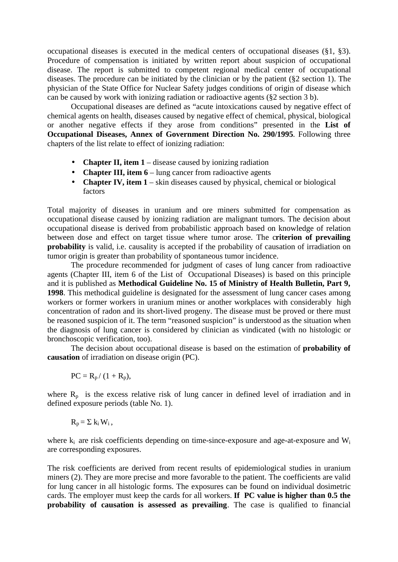occupational diseases is executed in the medical centers of occupational diseases (§1, §3). Procedure of compensation is initiated by written report about suspicion of occupational disease. The report is submitted to competent regional medical center of occupational diseases. The procedure can be initiated by the clinician or by the patient (§2 section 1). The physician of the State Office for Nuclear Safety judges conditions of origin of disease which can be caused by work with ionizing radiation or radioactive agents (§2 section 3 b).

Occupational diseases are defined as "acute intoxications caused by negative effect of chemical agents on health, diseases caused by negative effect of chemical, physical, biological or another negative effects if they arose from conditions" presented in the **List of Occupational Diseases, Annex of Government Direction No. 290/1995**. Following three chapters of the list relate to effect of ionizing radiation:

- **Chapter II, item 1** disease caused by ionizing radiation
- **Chapter III, item 6** lung cancer from radioactive agents
- **Chapter IV, item 1** skin diseases caused by physical, chemical or biological factors

Total majority of diseases in uranium and ore miners submitted for compensation as occupational disease caused by ionizing radiation are malignant tumors. The decision about occupational disease is derived from probabilistic approach based on knowledge of relation between dose and effect on target tissue where tumor arose. The c**riterion of prevailing probability** is valid, i.e. causality is accepted if the probability of causation of irradiation on tumor origin is greater than probability of spontaneous tumor incidence.

The procedure recommended for judgment of cases of lung cancer from radioactive agents (Chapter III, item 6 of the List of Occupational Diseases) is based on this principle and it is published as **Methodical Guideline No. 15 of Ministry of Health Bulletin, Part 9, 1998**. This methodical guideline is designated for the assessment of lung cancer cases among workers or former workers in uranium mines or another workplaces with considerably high concentration of radon and its short-lived progeny. The disease must be proved or there must be reasoned suspicion of it. The term "reasoned suspicion" is understood as the situation when the diagnosis of lung cancer is considered by clinician as vindicated (with no histologic or bronchoscopic verification, too).

The decision about occupational disease is based on the estimation of **probability of causation** of irradiation on disease origin (PC).

$$
PC = R_p / (1 + R_p),
$$

where  $R_p$  is the excess relative risk of lung cancer in defined level of irradiation and in defined exposure periods (table No. 1).

$$
R_p = \sum k_i W_i,
$$

where  $k_i$  are risk coefficients depending on time-since-exposure and age-at-exposure and  $W_i$ are corresponding exposures.

The risk coefficients are derived from recent results of epidemiological studies in uranium miners (2). They are more precise and more favorable to the patient. The coefficients are valid for lung cancer in all histologic forms. The exposures can be found on individual dosimetric cards. The employer must keep the cards for all workers. **If PC value is higher than 0.5 the probability of causation is assessed as prevailing**. The case is qualified to financial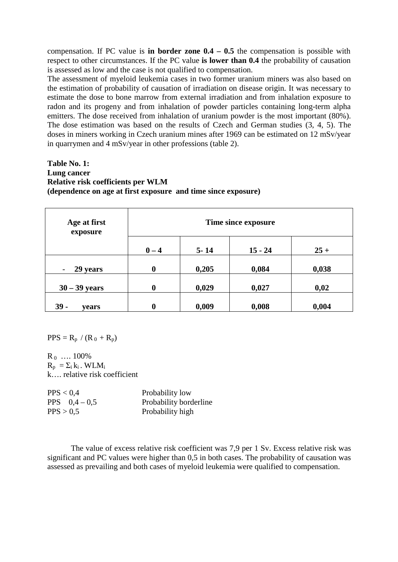compensation. If PC value is **in border zone 0.4 – 0.5** the compensation is possible with respect to other circumstances. If the PC value **is lower than 0.4** the probability of causation is assessed as low and the case is not qualified to compensation.

The assessment of myeloid leukemia cases in two former uranium miners was also based on the estimation of probability of causation of irradiation on disease origin. It was necessary to estimate the dose to bone marrow from external irradiation and from inhalation exposure to radon and its progeny and from inhalation of powder particles containing long-term alpha emitters. The dose received from inhalation of uranium powder is the most important (80%). The dose estimation was based on the results of Czech and German studies (3, 4, 5). The doses in miners working in Czech uranium mines after 1969 can be estimated on 12 mSv/year in quarrymen and 4 mSv/year in other professions (table 2).

# **Table No. 1: Lung cancer Relative risk coefficients per WLM (dependence on age at first exposure and time since exposure)**

| Age at first<br>exposure             | Time since exposure |          |           |        |
|--------------------------------------|---------------------|----------|-----------|--------|
|                                      | $0 - 4$             | $5 - 14$ | $15 - 24$ | $25 +$ |
| 29 years<br>$\overline{\phantom{a}}$ | $\boldsymbol{0}$    | 0,205    | 0,084     | 0,038  |
| $30 - 39$ years                      | $\boldsymbol{0}$    | 0,029    | 0,027     | 0,02   |
| $39 -$<br>vears                      | $\boldsymbol{0}$    | 0,009    | 0,008     | 0,004  |

 $PPS = R_p / (R_0 + R_p)$ 

 $R_0$  ... 100%  $R_p = \sum_i k_i$ . WLM<sub>i</sub> k…. relative risk coefficient

| PPS < 0.4     | Probability low        |
|---------------|------------------------|
| PPS $0.4-0.5$ | Probability borderline |
| PPS > 0.5     | Probability high       |

The value of excess relative risk coefficient was 7,9 per 1 Sv. Excess relative risk was significant and PC values were higher than 0,5 in both cases. The probability of causation was assessed as prevailing and both cases of myeloid leukemia were qualified to compensation.